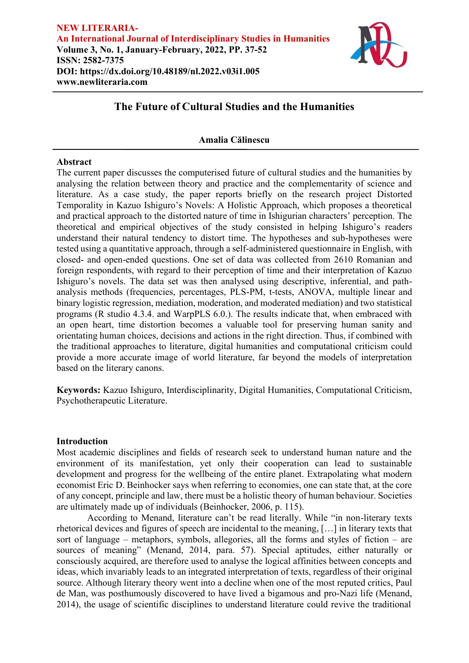

## **Amalia Călinescu**

## **Abstract**

The current paper discusses the computerised future of cultural studies and the humanities by analysing the relation between theory and practice and the complementarity of science and literature. As a case study, the paper reports briefly on the research project Distorted Temporality in Kazuo Ishiguro's Novels: A Holistic Approach, which proposes a theoretical and practical approach to the distorted nature of time in Ishigurian characters' perception. The theoretical and empirical objectives of the study consisted in helping Ishiguro's readers understand their natural tendency to distort time. The hypotheses and sub-hypotheses were tested using a quantitative approach, through a self-administered questionnaire in English, with closed- and open-ended questions. One set of data was collected from 2610 Romanian and foreign respondents, with regard to their perception of time and their interpretation of Kazuo Ishiguro's novels. The data set was then analysed using descriptive, inferential, and pathanalysis methods (frequencies, percentages, PLS-PM, t-tests, ANOVA, multiple linear and binary logistic regression, mediation, moderation, and moderated mediation) and two statistical programs (R studio 4.3.4. and WarpPLS 6.0.). The results indicate that, when embraced with an open heart, time distortion becomes a valuable tool for preserving human sanity and orientating human choices, decisions and actions in the right direction. Thus, if combined with the traditional approaches to literature, digital humanities and computational criticism could provide a more accurate image of world literature, far beyond the models of interpretation based on the literary canons.

**Keywords:** Kazuo Ishiguro, Interdisciplinarity, Digital Humanities, Computational Criticism, Psychotherapeutic Literature.

## **Introduction**

Most academic disciplines and fields of research seek to understand human nature and the environment of its manifestation, yet only their cooperation can lead to sustainable development and progress for the wellbeing of the entire planet. Extrapolating what modern economist Eric D. Beinhocker says when referring to economies, one can state that, at the core of any concept, principle and law, there must be a holistic theory of human behaviour. Societies are ultimately made up of individuals (Beinhocker, 2006, p. 115).

According to Menand, literature can't be read literally. While "in non-literary texts rhetorical devices and figures of speech are incidental to the meaning, […] in literary texts that sort of language – metaphors, symbols, allegories, all the forms and styles of fiction – are sources of meaning" (Menand, 2014, para. 57). Special aptitudes, either naturally or consciously acquired, are therefore used to analyse the logical affinities between concepts and ideas, which invariably leads to an integrated interpretation of texts, regardless of their original source. Although literary theory went into a decline when one of the most reputed critics, Paul de Man, was posthumously discovered to have lived a bigamous and pro-Nazi life (Menand, 2014), the usage of scientific disciplines to understand literature could revive the traditional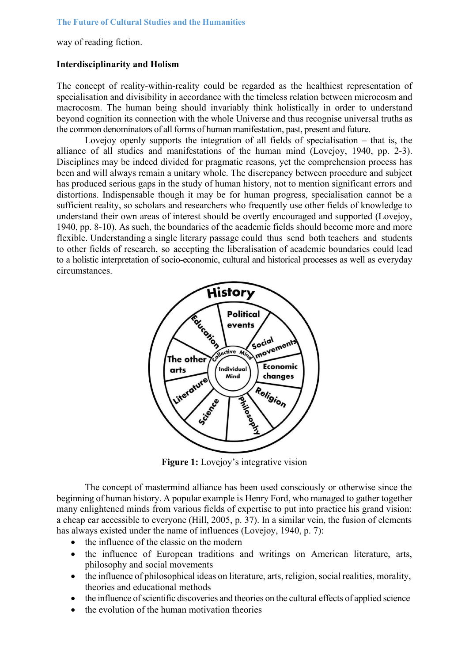way of reading fiction.

## **Interdisciplinarity and Holism**

The concept of reality-within-reality could be regarded as the healthiest representation of specialisation and divisibility in accordance with the timeless relation between microcosm and macrocosm. The human being should invariably think holistically in order to understand beyond cognition its connection with the whole Universe and thus recognise universal truths as the common denominators of all forms of human manifestation, past, present and future.

Lovejoy openly supports the integration of all fields of specialisation – that is, the alliance of all studies and manifestations of the human mind (Lovejoy, 1940, pp. 2-3). Disciplines may be indeed divided for pragmatic reasons, yet the comprehension process has been and will always remain a unitary whole. The discrepancy between procedure and subject has produced serious gaps in the study of human history, not to mention significant errors and distortions. Indispensable though it may be for human progress, specialisation cannot be a sufficient reality, so scholars and researchers who frequently use other fields of knowledge to understand their own areas of interest should be overtly encouraged and supported (Lovejoy, 1940, pp. 8-10). As such, the boundaries of the academic fields should become more and more flexible. Understanding a single literary passage could thus send both teachers and students to other fields of research, so accepting the liberalisation of academic boundaries could lead to a holistic interpretation of socio-economic, cultural and historical processes as well as everyday circumstances.



**Figure 1:** Lovejoy's integrative vision

The concept of mastermind alliance has been used consciously or otherwise since the beginning of human history. A popular example is Henry Ford, who managed to gather together many enlightened minds from various fields of expertise to put into practice his grand vision: a cheap car accessible to everyone (Hill, 2005, p. 37). In a similar vein, the fusion of elements has always existed under the name of influences (Lovejoy, 1940, p. 7):

- the influence of the classic on the modern
- the influence of European traditions and writings on American literature, arts, philosophy and social movements
- the influence of philosophical ideas on literature, arts, religion, social realities, morality, theories and educational methods
- the influence of scientific discoveries and theories on the cultural effects of applied science
- the evolution of the human motivation theories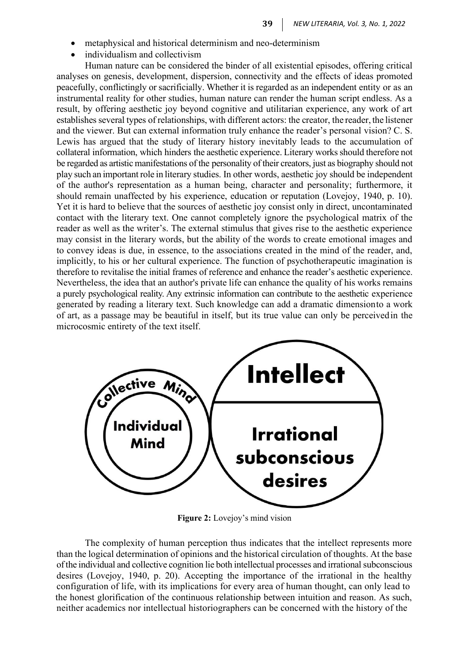- metaphysical and historical determinism and neo-determinism
- individualism and collectivism

Human nature can be considered the binder of all existential episodes, offering critical analyses on genesis, development, dispersion, connectivity and the effects of ideas promoted peacefully, conflictingly or sacrificially. Whether it is regarded as an independent entity or as an instrumental reality for other studies, human nature can render the human script endless. As a result, by offering aesthetic joy beyond cognitive and utilitarian experience, any work of art establishes several types of relationships, with different actors: the creator, the reader, the listener and the viewer. But can external information truly enhance the reader's personal vision? C. S. Lewis has argued that the study of literary history inevitably leads to the accumulation of collateral information, which hinders the aesthetic experience. Literary works should therefore not be regarded as artistic manifestations of the personality of their creators, just as biography should not play such an important role in literary studies. In other words, aesthetic joy should be independent of the author's representation as a human being, character and personality; furthermore, it should remain unaffected by his experience, education or reputation (Lovejoy, 1940, p. 10). Yet it is hard to believe that the sources of aesthetic joy consist only in direct, uncontaminated contact with the literary text. One cannot completely ignore the psychological matrix of the reader as well as the writer's. The external stimulus that gives rise to the aesthetic experience may consist in the literary words, but the ability of the words to create emotional images and to convey ideas is due, in essence, to the associations created in the mind of the reader, and, implicitly, to his or her cultural experience. The function of psychotherapeutic imagination is therefore to revitalise the initial frames of reference and enhance the reader's aesthetic experience. Nevertheless, the idea that an author's private life can enhance the quality of his works remains a purely psychological reality. Any extrinsic information can contribute to the aesthetic experience generated by reading a literary text. Such knowledge can add a dramatic dimensionto a work of art, as a passage may be beautiful in itself, but its true value can only be perceivedin the microcosmic entirety of the text itself.



**Figure 2:** Lovejoy's mind vision

The complexity of human perception thus indicates that the intellect represents more than the logical determination of opinions and the historical circulation of thoughts. At the base of the individual and collective cognition lie both intellectual processes and irrational subconscious desires (Lovejoy, 1940, p. 20). Accepting the importance of the irrational in the healthy configuration of life, with its implications for every area of human thought, can only lead to the honest glorification of the continuous relationship between intuition and reason. As such, neither academics nor intellectual historiographers can be concerned with the history of the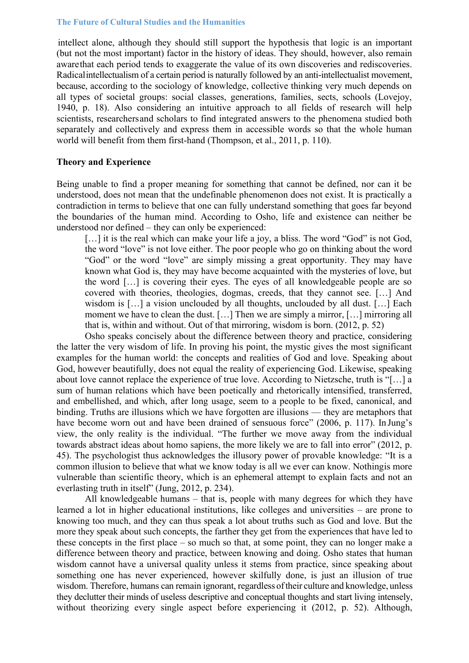intellect alone, although they should still support the hypothesis that logic is an important (but not the most important) factor in the history of ideas. They should, however, also remain awarethat each period tends to exaggerate the value of its own discoveries and rediscoveries. Radicalintellectualism of a certain period is naturally followed by an anti-intellectualist movement, because, according to the sociology of knowledge, collective thinking very much depends on all types of societal groups: social classes, generations, families, sects, schools (Lovejoy, 1940, p. 18). Also considering an intuitive approach to all fields of research will help scientists, researchersand scholars to find integrated answers to the phenomena studied both separately and collectively and express them in accessible words so that the whole human world will benefit from them first-hand (Thompson, et al., 2011, p. 110).

### **Theory and Experience**

Being unable to find a proper meaning for something that cannot be defined, nor can it be understood, does not mean that the undefinable phenomenon does not exist. It is practically a contradiction in terms to believe that one can fully understand something that goes far beyond the boundaries of the human mind. According to Osho, life and existence can neither be understood nor defined – they can only be experienced:

[...] it is the real which can make your life a joy, a bliss. The word "God" is not God, the word "love" is not love either. The poor people who go on thinking about the word "God" or the word "love" are simply missing a great opportunity. They may have known what God is, they may have become acquainted with the mysteries of love, but the word […] is covering their eyes. The eyes of all knowledgeable people are so covered with theories, theologies, dogmas, creeds, that they cannot see. […] And wisdom is [...] a vision unclouded by all thoughts, unclouded by all dust. [...] Each moment we have to clean the dust. [...] Then we are simply a mirror, [...] mirroring all that is, within and without. Out of that mirroring, wisdom is born. (2012, p. 52)

Osho speaks concisely about the difference between theory and practice, considering the latter the very wisdom of life. In proving his point, the mystic gives the most significant examples for the human world: the concepts and realities of God and love. Speaking about God, however beautifully, does not equal the reality of experiencing God. Likewise, speaking about love cannot replace the experience of true love. According to Nietzsche, truth is "[…] a sum of human relations which have been poetically and rhetorically intensified, transferred, and embellished, and which, after long usage, seem to a people to be fixed, canonical, and binding. Truths are illusions which we have forgotten are illusions — they are metaphors that have become worn out and have been drained of sensuous force" (2006, p. 117). In Jung's view, the only reality is the individual. "The further we move away from the individual towards abstract ideas about homo sapiens, the more likely we are to fall into error" (2012, p. 45). The psychologist thus acknowledges the illusory power of provable knowledge: "It is a common illusion to believe that what we know today is all we ever can know. Nothingis more vulnerable than scientific theory, which is an ephemeral attempt to explain facts and not an everlasting truth in itself" (Jung, 2012, p. 234).

All knowledgeable humans – that is, people with many degrees for which they have learned a lot in higher educational institutions, like colleges and universities – are prone to knowing too much, and they can thus speak a lot about truths such as God and love. But the more they speak about such concepts, the farther they get from the experiences that have led to these concepts in the first place – so much so that, at some point, they can no longer make a difference between theory and practice, between knowing and doing. Osho states that human wisdom cannot have a universal quality unless it stems from practice, since speaking about something one has never experienced, however skilfully done, is just an illusion of true wisdom. Therefore, humans can remain ignorant, regardless of their culture and knowledge, unless they declutter their minds of useless descriptive and conceptual thoughts and start living intensely, without theorizing every single aspect before experiencing it (2012, p. 52). Although,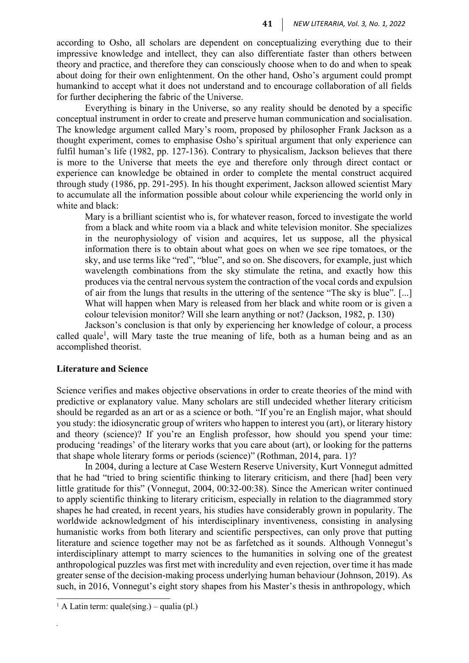according to Osho, all scholars are dependent on conceptualizing everything due to their impressive knowledge and intellect, they can also differentiate faster than others between theory and practice, and therefore they can consciously choose when to do and when to speak about doing for their own enlightenment. On the other hand, Osho's argument could prompt humankind to accept what it does not understand and to encourage collaboration of all fields for further deciphering the fabric of the Universe.

Everything is binary in the Universe, so any reality should be denoted by a specific conceptual instrument in order to create and preserve human communication and socialisation. The knowledge argument called Mary's room, proposed by philosopher Frank Jackson as a thought experiment, comes to emphasise Osho's spiritual argument that only experience can fulfil human's life (1982, pp. 127-136). Contrary to physicalism, Jackson believes that there is more to the Universe that meets the eye and therefore only through direct contact or experience can knowledge be obtained in order to complete the mental construct acquired through study (1986, pp. 291-295). In his thought experiment, Jackson allowed scientist Mary to accumulate all the information possible about colour while experiencing the world only in white and black:

Mary is a brilliant scientist who is, for whatever reason, forced to investigate the world from a black and white room via a black and white television monitor. She specializes in the neurophysiology of vision and acquires, let us suppose, all the physical information there is to obtain about what goes on when we see ripe tomatoes, or the sky, and use terms like "red", "blue", and so on. She discovers, for example, just which wavelength combinations from the sky stimulate the retina, and exactly how this produces via the central nervous system the contraction of the vocal cords and expulsion of air from the lungs that results in the uttering of the sentence "The sky is blue". [...] What will happen when Mary is released from her black and white room or is given a colour television monitor? Will she learn anything or not? (Jackson, 1982, p. 130)

Jackson's conclusion is that only by experiencing her knowledge of colour, a process called quale<sup>1</sup>, will Mary taste the true meaning of life, both as a human being and as an accomplished theorist.

#### **Literature and Science**

Science verifies and makes objective observations in order to create theories of the mind with predictive or explanatory value. Many scholars are still undecided whether literary criticism should be regarded as an art or as a science or both. "If you're an English major, what should you study: the idiosyncratic group of writers who happen to interest you (art), or literary history and theory (science)? If you're an English professor, how should you spend your time: producing 'readings' of the literary works that you care about (art), or looking for the patterns that shape whole literary forms or periods (science)" (Rothman, 2014, para. 1)?

In 2004, during a lecture at Case Western Reserve University, Kurt Vonnegut admitted that he had "tried to bring scientific thinking to literary criticism, and there [had] been very little gratitude for this" (Vonnegut, 2004, 00:32-00:38). Since the American writer continued to apply scientific thinking to literary criticism, especially in relation to the diagrammed story shapes he had created, in recent years, his studies have considerably grown in popularity. The worldwide acknowledgment of his interdisciplinary inventiveness, consisting in analysing humanistic works from both literary and scientific perspectives, can only prove that putting literature and science together may not be as farfetched as it sounds. Although Vonnegut's interdisciplinary attempt to marry sciences to the humanities in solving one of the greatest anthropological puzzles was first met with incredulity and even rejection, over time it has made greater sense of the decision-making process underlying human behaviour (Johnson, 2019). As such, in 2016, Vonnegut's eight story shapes from his Master's thesis in anthropology, which

*.*

<sup>&</sup>lt;sup>1</sup> A Latin term: quale(sing.) – qualia (pl.)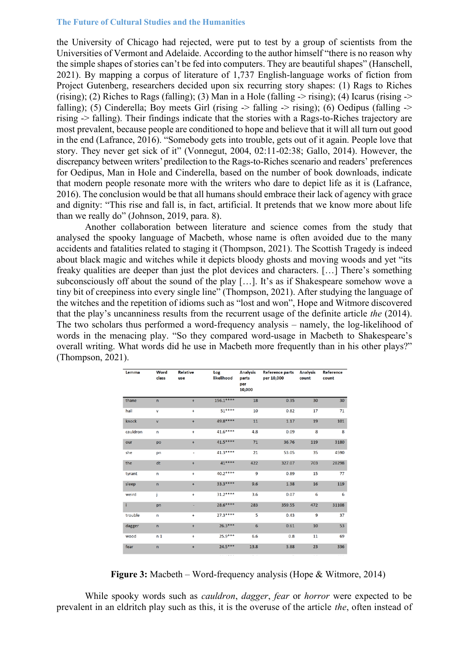the University of Chicago had rejected, were put to test by a group of scientists from the Universities of Vermont and Adelaide. According to the author himself "there is no reason why the simple shapes of stories can't be fed into computers. They are beautiful shapes" (Hanschell, 2021). By mapping a corpus of literature of 1,737 English-language works of fiction from Project Gutenberg, researchers decided upon six recurring story shapes: (1) Rags to Riches (rising); (2) Riches to Rags (falling); (3) Man in a Hole (falling  $\rightarrow$  rising); (4) Icarus (rising  $\rightarrow$ falling); (5) Cinderella; Boy meets Girl (rising  $\rightarrow$  falling  $\rightarrow$  rising); (6) Oedipus (falling  $\rightarrow$ rising -> falling). Their findings indicate that the stories with a Rags-to-Riches trajectory are most prevalent, because people are conditioned to hope and believe that it will all turn out good in the end (Lafrance, 2016). "Somebody gets into trouble, gets out of it again. People love that story. They never get sick of it" (Vonnegut, 2004, 02:11-02:38; Gallo, 2014). However, the discrepancy between writers'predilection to the Rags-to-Riches scenario and readers' preferences for Oedipus, Man in Hole and Cinderella, based on the number of book downloads, indicate that modern people resonate more with the writers who dare to depict life as it is (Lafrance, 2016). The conclusion would be that all humans should embrace their lack of agency with grace and dignity: "This rise and fall is, in fact, artificial. It pretends that we know more about life than we really do" (Johnson, 2019, para. 8).

Another collaboration between literature and science comes from the study that analysed the spooky language of Macbeth, whose name is often avoided due to the many accidents and fatalities related to staging it (Thompson, 2021). The Scottish Tragedy is indeed about black magic and witches while it depicts bloody ghosts and moving woods and yet "its freaky qualities are deeper than just the plot devices and characters. […] There's something subconsciously off about the sound of the play […]. It's as if Shakespeare somehow wove a tiny bit of creepiness into every single line" (Thompson, 2021). After studying the language of the witches and the repetition of idioms such as "lost and won", Hope and Witmore discovered that the play's uncanniness results from the recurrent usage of the definite article *the* (2014). The two scholars thus performed a word-frequency analysis – namely, the log-likelihood of words in the menacing play. "So they compared word-usage in Macbeth to Shakespeare's overall writing. What words did he use in Macbeth more frequently than in his other plays?" (Thompson, 2021).

| Lemma    | Word<br>class  | <b>Relative</b><br>use | Log<br>likelihood | <b>Analysis</b><br>parts<br>per<br>10,000 | <b>Reference parts</b><br>per 10,000 | <b>Analysis</b><br>count | Reference<br>count |
|----------|----------------|------------------------|-------------------|-------------------------------------------|--------------------------------------|--------------------------|--------------------|
| thane    | $\overline{ }$ | $\ddot{}$              | 156.1****         | 18                                        | 0.35                                 | 30                       | 30                 |
| hail     | v              | $\ddot{}$              | $51***$           | 10                                        | 0.82                                 | 17                       | 71                 |
| knock    | $\mathbf v$    | $\ddot{}$              | 49.8****          | 11                                        | 1.17                                 | 19                       | 101                |
| cauldron | n              | $\ddot{}$              | 41.6****          | 4.8                                       | 0.09                                 | 8                        | 8                  |
| our      | po             | $\ddot{}$              | 41.5****          | 71                                        | 36.76                                | 119                      | 3180               |
| she      | pn             | ٠                      | 41.3****          | 21                                        | 53.05                                | 35                       | 4590               |
| the      | dt             | $\ddot{}$              | 41****            | 422                                       | 327.07                               | 703                      | 28298              |
| tyrant   | n              | $\ddot{}$              | 40.2****          | 9                                         | 0.89                                 | 15                       | 77                 |
| sleep    | $\mathsf{n}$   | $\ddot{}$              | 33.3 ****         | 9.6                                       | 1.38                                 | 16                       | 119                |
| weird    | j              | $\ddot{}$              | 31.2****          | 3.6                                       | 0.07                                 | 6                        | 6                  |
| i.       | pn             |                        | 28.6****          | 283                                       | 359.55                               | 472                      | 31108              |
| trouble  | n              | $\ddot{}$              | $27.3***$         | 5                                         | 0.43                                 | 9                        | 37                 |
| dagger   | n              | $\ddot{}$              | $26.3***$         | $6\phantom{1}$                            | 0.61                                 | 10                       | 53                 |
| wood     | n <sub>1</sub> | ÷                      | $25.9***$         | 6.6                                       | 0.8                                  | 11                       | 69                 |
| fear     | $\mathbf n$    | $\ddot{}$              | $24.5***$         | 13.8                                      | 3.88                                 | 23                       | 336                |

**Figure 3:** Macbeth – Word-frequency analysis (Hope & Witmore, 2014)

While spooky words such as *cauldron*, *dagger*, *fear* or *horror* were expected to be prevalent in an eldritch play such as this, it is the overuse of the article *the*, often instead of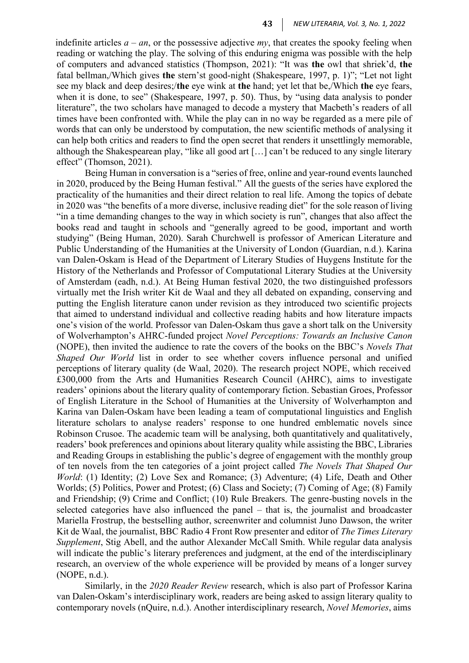indefinite articles  $a - an$ , or the possessive adjective  $my$ , that creates the spooky feeling when reading or watching the play. The solving of this enduring enigma was possible with the help of computers and advanced statistics (Thompson, 2021): "It was **the** owl that shriek'd, **the** fatal bellman,/Which gives **the** stern'st good-night (Shakespeare, 1997, p. 1)"; "Let not light see my black and deep desires;/**the** eye wink at **the** hand; yet let that be,/Which **the** eye fears, when it is done, to see" (Shakespeare, 1997, p. 50). Thus, by "using data analysis to ponder literature", the two scholars have managed to decode a mystery that Macbeth's readers of all times have been confronted with. While the play can in no way be regarded as a mere pile of words that can only be understood by computation, the new scientific methods of analysing it can help both critics and readers to find the open secret that renders it unsettlingly memorable, although the Shakespearean play, "like all good art […] can't be reduced to any single literary effect" (Thomson, 2021).

Being Human in conversation is a "series of free, online and year-round events launched in 2020, produced by the Being Human festival." All the guests of the series have explored the practicality of the humanities and their direct relation to real life. Among the topics of debate in 2020 was "the benefits of a more diverse, inclusive reading diet" for the sole reason of living "in a time demanding changes to the way in which society is run", changes that also affect the books read and taught in schools and "generally agreed to be good, important and worth studying" (Being Human, 2020). Sarah Churchwell is professor of American Literature and Public Understanding of the Humanities at the University of London (Guardian, n.d.). Karina van Dalen-Oskam is Head of the Department of Literary Studies of Huygens Institute for the History of the Netherlands and Professor of Computational Literary Studies at the University of Amsterdam (eadh, n.d.). At Being Human festival 2020, the two distinguished professors virtually met the Irish writer Kit de Waal and they all debated on expanding, conserving and putting the English literature canon under revision as they introduced two scientific projects that aimed to understand individual and collective reading habits and how literature impacts one's vision of the world. Professor van Dalen-Oskam thus gave a short talk on the University of Wolverhampton's AHRC-funded project *Novel Perceptions: Towards an Inclusive Canon* (NOPE), then invited the audience to rate the covers of the books on the BBC's *Novels That Shaped Our World* list in order to see whether covers influence personal and unified perceptions of literary quality (de Waal, 2020). The research project NOPE, which received £300,000 from the Arts and Humanities Research Council (AHRC), aims to investigate readers' opinions about the literary quality of contemporary fiction. Sebastian Groes, Professor of English Literature in the School of Humanities at the University of Wolverhampton and Karina van Dalen-Oskam have been leading a team of computational linguistics and English literature scholars to analyse readers' response to one hundred emblematic novels since Robinson Crusoe. The academic team will be analysing, both quantitatively and qualitatively, readers' book preferences and opinions about literary quality while assisting the BBC, Libraries and Reading Groups in establishing the public's degree of engagement with the monthly group of ten novels from the ten categories of a joint project called *The Novels That Shaped Our World*: (1) Identity; (2) Love Sex and Romance; (3) Adventure; (4) Life, Death and Other Worlds; (5) Politics, Power and Protest; (6) Class and Society; (7) Coming of Age; (8) Family and Friendship; (9) Crime and Conflict; (10) Rule Breakers. The genre-busting novels in the selected categories have also influenced the panel – that is, the journalist and broadcaster Mariella Frostrup, the bestselling author, screenwriter and columnist Juno Dawson, the writer Kit de Waal, the journalist, BBC Radio 4 Front Row presenter and editor of *The Times Literary Supplement*, Stig Abell, and the author Alexander McCall Smith. While regular data analysis will indicate the public's literary preferences and judgment, at the end of the interdisciplinary research, an overview of the whole experience will be provided by means of a longer survey (NOPE, n.d.).

Similarly, in the *2020 Reader Review* research, which is also part of Professor Karina van Dalen-Oskam's interdisciplinary work, readers are being asked to assign literary quality to contemporary novels (nQuire, n.d.). Another interdisciplinary research, *Novel Memories*, aims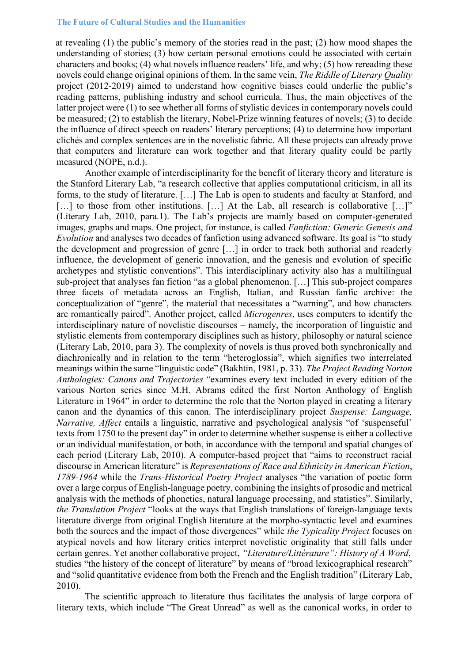at revealing (1) the public's memory of the stories read in the past; (2) how mood shapes the understanding of stories; (3) how certain personal emotions could be associated with certain characters and books; (4) what novels influence readers' life, and why; (5) how rereading these novels could change original opinions of them. In the same vein, *The Riddle of Literary Quality* project (2012-2019) aimed to understand how cognitive biases could underlie the public's reading patterns, publishing industry and school curricula. Thus, the main objectives of the latter project were (1) to see whether all forms of stylistic devices in contemporary novels could be measured; (2) to establish the literary, Nobel-Prize winning features of novels; (3) to decide the influence of direct speech on readers' literary perceptions; (4) to determine how important clichés and complex sentences are in the novelistic fabric. All these projects can already prove that computers and literature can work together and that literary quality could be partly measured (NOPE, n.d.).

Another example of interdisciplinarity for the benefit of literary theory and literature is the Stanford Literary Lab, "a research collective that applies computational criticism, in all its forms, to the study of literature. […] The Lab is open to students and faculty at Stanford, and [...] to those from other institutions. [...] At the Lab, all research is collaborative [...]" (Literary Lab, 2010, para.1). The Lab's projects are mainly based on computer-generated images, graphs and maps. One project, for instance, is called *Fanfiction: Generic Genesis and Evolution* and analyses two decades of fanfiction using advanced software. Its goal is "to study the development and progression of genre […] in order to track both authorial and readerly influence, the development of generic innovation, and the genesis and evolution of specific archetypes and stylistic conventions". This interdisciplinary activity also has a multilingual sub-project that analyses fan fiction "as a global phenomenon. […] This sub-project compares three facets of metadata across an English, Italian, and Russian fanfic archive: the conceptualization of "genre", the material that necessitates a "warning", and how characters are romantically paired". Another project, called *Microgenres*, uses computers to identify the interdisciplinary nature of novelistic discourses – namely, the incorporation of linguistic and stylistic elements from contemporary disciplines such as history, philosophy or natural science (Literary Lab, 2010, para 3). The complexity of novels is thus proved both synchronically and diachronically and in relation to the term "heteroglossia", which signifies two interrelated meanings within the same "linguistic code" (Bakhtin, 1981, p. 33). *The Project Reading Norton Anthologies: Canons and Trajectories* "examines every text included in every edition of the various Norton series since M.H. Abrams edited the first Norton Anthology of English Literature in 1964" in order to determine the role that the Norton played in creating a literary canon and the dynamics of this canon. The interdisciplinary project *Suspense: Language, Narrative, Affect* entails a linguistic, narrative and psychological analysis "of 'suspenseful' texts from 1750 to the present day" in order to determine whether suspense is either a collective or an individual manifestation, or both, in accordance with the temporal and spatial changes of each period (Literary Lab, 2010). A computer-based project that "aims to reconstruct racial discourse in American literature" is *Representations of Race and Ethnicity in American Fiction*, *1789-1964* while the *Trans-Historical Poetry Project* analyses "the variation of poetic form over a large corpus of English-language poetry, combining the insights of prosodic and metrical analysis with the methods of phonetics, natural language processing, and statistics". Similarly, *the Translation Project* "looks at the ways that English translations of foreign-language texts literature diverge from original English literature at the morpho-syntactic level and examines both the sources and the impact of those divergences" while *the Typicality Project* focuses on atypical novels and how literary critics interpret novelistic originality that still falls under certain genres. Yet another collaborative project, *"Literature/Littérature": History of A Word*, studies "the history of the concept of literature" by means of "broad lexicographical research" and "solid quantitative evidence from both the French and the English tradition" (Literary Lab, 2010).

The scientific approach to literature thus facilitates the analysis of large corpora of literary texts, which include "The Great Unread" as well as the canonical works, in order to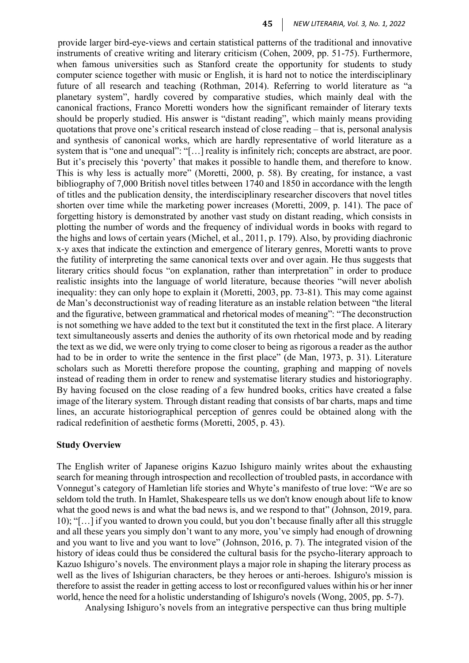provide larger bird-eye-views and certain statistical patterns of the traditional and innovative instruments of creative writing and literary criticism (Cohen, 2009, pp. 51-75). Furthermore, when famous universities such as Stanford create the opportunity for students to study computer science together with music or English, it is hard not to notice the interdisciplinary future of all research and teaching (Rothman, 2014). Referring to world literature as "a planetary system", hardly covered by comparative studies, which mainly deal with the canonical fractions, Franco Moretti wonders how the significant remainder of literary texts should be properly studied. His answer is "distant reading", which mainly means providing quotations that prove one's critical research instead of close reading – that is, personal analysis and synthesis of canonical works, which are hardly representative of world literature as a system that is "one and unequal": "[...] reality is infinitely rich; concepts are abstract, are poor. But it's precisely this 'poverty' that makes it possible to handle them, and therefore to know. This is why less is actually more" (Moretti, 2000, p. 58). By creating, for instance, a vast bibliography of 7,000 British novel titles between 1740 and 1850 in accordance with the length of titles and the publication density, the interdisciplinary researcher discovers that novel titles shorten over time while the marketing power increases (Moretti, 2009, p. 141). The pace of forgetting history is demonstrated by another vast study on distant reading, which consists in plotting the number of words and the frequency of individual words in books with regard to the highs and lows of certain years (Michel, et al., 2011, p. 179). Also, by providing diachronic x-y axes that indicate the extinction and emergence of literary genres, Moretti wants to prove the futility of interpreting the same canonical texts over and over again. He thus suggests that literary critics should focus "on explanation, rather than interpretation" in order to produce realistic insights into the language of world literature, because theories "will never abolish inequality: they can only hope to explain it (Moretti, 2003, pp. 73-81). This may come against de Man's deconstructionist way of reading literature as an instable relation between "the literal and the figurative, between grammatical and rhetorical modes of meaning": "The deconstruction is not something we have added to the text but it constituted the text in the first place. A literary text simultaneously asserts and denies the authority of its own rhetorical mode and by reading the text as we did, we were only trying to come closer to being as rigorous a reader as the author had to be in order to write the sentence in the first place" (de Man, 1973, p. 31). Literature scholars such as Moretti therefore propose the counting, graphing and mapping of novels instead of reading them in order to renew and systematise literary studies and historiography. By having focused on the close reading of a few hundred books, critics have created a false image of the literary system. Through distant reading that consists of bar charts, maps and time lines, an accurate historiographical perception of genres could be obtained along with the radical redefinition of aesthetic forms (Moretti, 2005, p. 43).

#### **Study Overview**

The English writer of Japanese origins Kazuo Ishiguro mainly writes about the exhausting search for meaning through introspection and recollection of troubled pasts, in accordance with Vonnegut's category of Hamletian life stories and Whyte's manifesto of true love: "We are so seldom told the truth. In Hamlet, Shakespeare tells us we don't know enough about life to know what the good news is and what the bad news is, and we respond to that" (Johnson, 2019, para. 10); "[…] if you wanted to drown you could, but you don't because finally after all this struggle and all these years you simply don't want to any more, you've simply had enough of drowning and you want to live and you want to love" (Johnson, 2016, p. 7). The integrated vision of the history of ideas could thus be considered the cultural basis for the psycho-literary approach to Kazuo Ishiguro's novels. The environment plays a major role in shaping the literary process as well as the lives of Ishigurian characters, be they heroes or anti-heroes. Ishiguro's mission is therefore to assist the reader in getting access to lost or reconfigured values within his or her inner world, hence the need for a holistic understanding of Ishiguro's novels (Wong, 2005, pp. 5-7).

Analysing Ishiguro's novels from an integrative perspective can thus bring multiple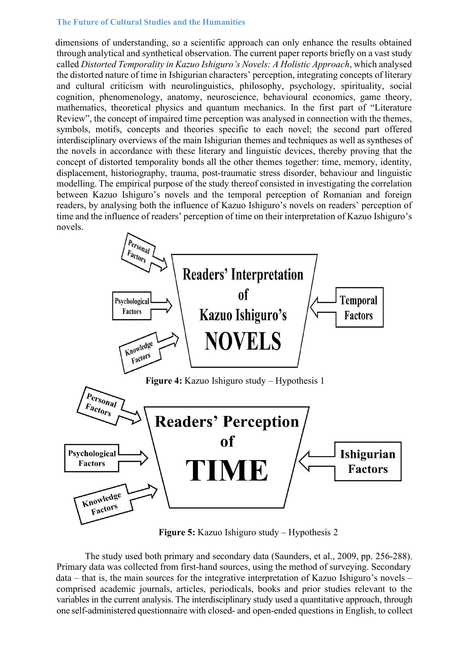dimensions of understanding, so a scientific approach can only enhance the results obtained through analytical and synthetical observation. The current paper reports briefly on a vast study called *Distorted Temporality in Kazuo Ishiguro's Novels: A Holistic Approach*, which analysed the distorted nature of time in Ishigurian characters' perception, integrating concepts of literary and cultural criticism with neurolinguistics, philosophy, psychology, spirituality, social cognition, phenomenology, anatomy, neuroscience, behavioural economics, game theory, mathematics, theoretical physics and quantum mechanics. In the first part of "Literature Review", the concept of impaired time perception was analysed in connection with the themes, symbols, motifs, concepts and theories specific to each novel; the second part offered interdisciplinary overviews of the main Ishigurian themes and techniques as well as syntheses of the novels in accordance with these literary and linguistic devices, thereby proving that the concept of distorted temporality bonds all the other themes together: time, memory, identity, displacement, historiography, trauma, post-traumatic stress disorder, behaviour and linguistic modelling. The empirical purpose of the study thereof consisted in investigating the correlation between Kazuo Ishiguro's novels and the temporal perception of Romanian and foreign readers, by analysing both the influence of Kazuo Ishiguro's novels on readers' perception of time and the influence of readers' perception of time on their interpretation of Kazuo Ishiguro's novels.



**Figure 5:** Kazuo Ishiguro study – Hypothesis 2

The study used both primary and secondary data (Saunders, et al., 2009, pp. 256-288). Primary data was collected from first-hand sources, using the method of surveying. Secondary data – that is, the main sources for the integrative interpretation of Kazuo Ishiguro's novels – comprised academic journals, articles, periodicals, books and prior studies relevant to the variables in the current analysis. The interdisciplinary study used a quantitative approach, through one self-administered questionnaire with closed- and open-ended questions in English, to collect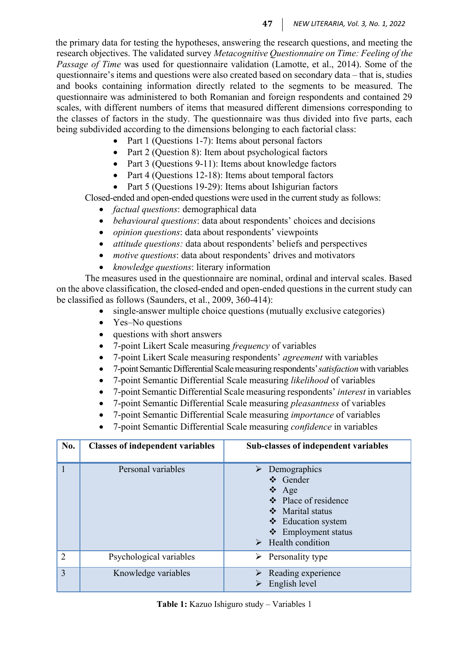the primary data for testing the hypotheses, answering the research questions, and meeting the research objectives. The validated survey *Metacognitive Questionnaire on Time: Feeling of the Passage of Time* was used for questionnaire validation (Lamotte, et al., 2014). Some of the questionnaire's items and questions were also created based on secondary data – that is, studies and books containing information directly related to the segments to be measured. The questionnaire was administered to both Romanian and foreign respondents and contained 29 scales, with different numbers of items that measured different dimensions corresponding to the classes of factors in the study. The questionnaire was thus divided into five parts, each being subdivided according to the dimensions belonging to each factorial class:

- Part 1 (Questions 1-7): Items about personal factors
- Part 2 (Question 8): Item about psychological factors
- Part 3 (Questions 9-11): Items about knowledge factors
- Part 4 (Questions 12-18): Items about temporal factors
- Part 5 (Questions 19-29): Items about Ishigurian factors

Closed-ended and open-ended questions were used in the current study as follows:

- *factual questions*: demographical data
- *behavioural questions*: data about respondents' choices and decisions
- *opinion questions*: data about respondents' viewpoints
- *attitude questions:* data about respondents' beliefs and perspectives
- *motive questions*: data about respondents' drives and motivators
- *knowledge questions*: literary information

The measures used in the questionnaire are nominal, ordinal and interval scales. Based on the above classification, the closed-ended and open-ended questions in the current study can be classified as follows (Saunders, et al., 2009, 360-414):

- single-answer multiple choice questions (mutually exclusive categories)
- Yes–No questions
- questions with short answers
- 7-point Likert Scale measuring *frequency* of variables
- 7-point Likert Scale measuring respondents' *agreement* with variables
- 7-pointSemanticDifferentialScalemeasuring respondents'*satisfaction*with variables
- 7-point Semantic Differential Scale measuring *likelihood* of variables
- 7-point Semantic Differential Scale measuring respondents' *interest* in variables
- 7-point Semantic Differential Scale measuring *pleasantness* of variables
- 7-point Semantic Differential Scale measuring *importance* of variables
- 7-point Semantic Differential Scale measuring *confidence* in variables

| No.            | <b>Classes of independent variables</b> | Sub-classes of independent variables                                                                                                                                                       |
|----------------|-----------------------------------------|--------------------------------------------------------------------------------------------------------------------------------------------------------------------------------------------|
|                | Personal variables                      | $\triangleright$ Demographics<br>❖ Gender<br>$\triangle$ Age<br>❖ Place of residence<br>❖ Marital status<br>❖ Education system<br>❖ Employment status<br>$\triangleright$ Health condition |
| $\overline{2}$ | Psychological variables                 | $\triangleright$ Personality type                                                                                                                                                          |
| 3              | Knowledge variables                     | Reading experience<br>English level                                                                                                                                                        |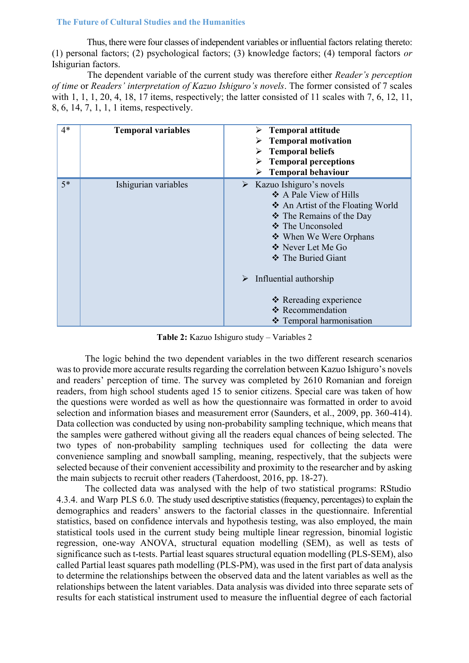Thus, there were four classes of independent variables or influential factors relating thereto: (1) personal factors; (2) psychological factors; (3) knowledge factors; (4) temporal factors *or* Ishigurian factors.

The dependent variable of the current study was therefore either *Reader's perception of time* or *Readers' interpretation of Kazuo Ishiguro's novels*. The former consisted of 7 scales with 1, 1, 1, 20, 4, 18, 17 items, respectively; the latter consisted of 11 scales with 7, 6, 12, 11, 8, 6, 14, 7, 1, 1, 1 items, respectively.

| $4*$ | <b>Temporal variables</b> | $\triangleright$ Temporal attitude<br>$\triangleright$ Temporal motivation<br><b>Temporal beliefs</b><br><b>Temporal perceptions</b><br><b>Temporal behaviour</b><br>➤                                                                 |
|------|---------------------------|----------------------------------------------------------------------------------------------------------------------------------------------------------------------------------------------------------------------------------------|
| $5*$ | Ishigurian variables      | $\triangleright$ Kazuo Ishiguro's novels<br>$\triangle$ A Pale View of Hills<br>❖ An Artist of the Floating World<br>❖ The Remains of the Day<br>❖ The Unconsoled<br>❖ When We Were Orphans<br>❖ Never Let Me Go<br>❖ The Buried Giant |
|      |                           | $\triangleright$ Influential authorship<br>❖ Rereading experience<br>❖ Recommendation<br>❖ Temporal harmonisation                                                                                                                      |

**Table 2:** Kazuo Ishiguro study – Variables 2

The logic behind the two dependent variables in the two different research scenarios was to provide more accurate results regarding the correlation between Kazuo Ishiguro's novels and readers' perception of time. The survey was completed by 2610 Romanian and foreign readers, from high school students aged 15 to senior citizens. Special care was taken of how the questions were worded as well as how the questionnaire was formatted in order to avoid selection and information biases and measurement error (Saunders, et al., 2009, pp. 360-414). Data collection was conducted by using non-probability sampling technique, which means that the samples were gathered without giving all the readers equal chances of being selected. The two types of non-probability sampling techniques used for collecting the data were convenience sampling and snowball sampling, meaning, respectively, that the subjects were selected because of their convenient accessibility and proximity to the researcher and by asking the main subjects to recruit other readers (Taherdoost, 2016, pp. 18-27).

The collected data was analysed with the help of two statistical programs: RStudio 4.3.4. and Warp PLS 6.0. The study used descriptive statistics(frequency, percentages) to explain the demographics and readers' answers to the factorial classes in the questionnaire. Inferential statistics, based on confidence intervals and hypothesis testing, was also employed, the main statistical tools used in the current study being multiple linear regression, binomial logistic regression, one-way ANOVA, structural equation modelling (SEM), as well as tests of significance such as t-tests. Partial least squares structural equation modelling (PLS-SEM), also called Partial least squares path modelling (PLS-PM), was used in the first part of data analysis to determine the relationships between the observed data and the latent variables as well as the relationships between the latent variables. Data analysis was divided into three separate sets of results for each statistical instrument used to measure the influential degree of each factorial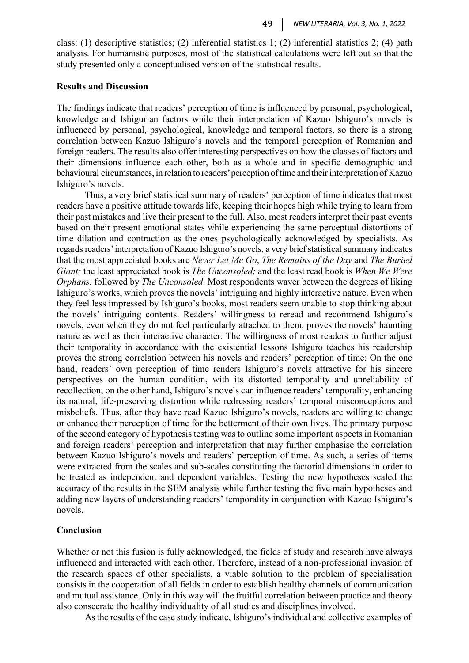class: (1) descriptive statistics; (2) inferential statistics 1; (2) inferential statistics 2; (4) path analysis. For humanistic purposes, most of the statistical calculations were left out so that the study presented only a conceptualised version of the statistical results.

### **Results and Discussion**

The findings indicate that readers' perception of time is influenced by personal, psychological, knowledge and Ishigurian factors while their interpretation of Kazuo Ishiguro's novels is influenced by personal, psychological, knowledge and temporal factors, so there is a strong correlation between Kazuo Ishiguro's novels and the temporal perception of Romanian and foreign readers. The results also offer interesting perspectives on how the classes of factors and their dimensions influence each other, both as a whole and in specific demographic and behavioural circumstances, in relation to readers' perception of time and their interpretation of Kazuo Ishiguro's novels.

Thus, a very brief statistical summary of readers' perception of time indicates that most readers have a positive attitude towards life, keeping their hopes high while trying to learn from their past mistakes and live their present to the full. Also, most readers interpret their past events based on their present emotional states while experiencing the same perceptual distortions of time dilation and contraction as the ones psychologically acknowledged by specialists. As regards readers' interpretation of Kazuo Ishiguro's novels, a very brief statistical summary indicates that the most appreciated books are *Never Let Me Go*, *The Remains of the Day* and *The Buried Giant;* the least appreciated book is *The Unconsoled;* and the least read book is *When We Were Orphans*, followed by *The Unconsoled*. Most respondents waver between the degrees of liking Ishiguro's works, which proves the novels' intriguing and highly interactive nature. Even when they feel less impressed by Ishiguro's books, most readers seem unable to stop thinking about the novels' intriguing contents. Readers' willingness to reread and recommend Ishiguro's novels, even when they do not feel particularly attached to them, proves the novels' haunting nature as well as their interactive character. The willingness of most readers to further adjust their temporality in accordance with the existential lessons Ishiguro teaches his readership proves the strong correlation between his novels and readers' perception of time: On the one hand, readers' own perception of time renders Ishiguro's novels attractive for his sincere perspectives on the human condition, with its distorted temporality and unreliability of recollection; on the other hand, Ishiguro's novels can influence readers' temporality, enhancing its natural, life-preserving distortion while redressing readers' temporal misconceptions and misbeliefs. Thus, after they have read Kazuo Ishiguro's novels, readers are willing to change or enhance their perception of time for the betterment of their own lives. The primary purpose of the second category of hypothesis testing was to outline some important aspects in Romanian and foreign readers' perception and interpretation that may further emphasise the correlation between Kazuo Ishiguro's novels and readers' perception of time. As such, a series of items were extracted from the scales and sub-scales constituting the factorial dimensions in order to be treated as independent and dependent variables. Testing the new hypotheses sealed the accuracy of the results in the SEM analysis while further testing the five main hypotheses and adding new layers of understanding readers' temporality in conjunction with Kazuo Ishiguro's novels.

### **Conclusion**

Whether or not this fusion is fully acknowledged, the fields of study and research have always influenced and interacted with each other. Therefore, instead of a non-professional invasion of the research spaces of other specialists, a viable solution to the problem of specialisation consists in the cooperation of all fields in order to establish healthy channels of communication and mutual assistance. Only in this way will the fruitful correlation between practice and theory also consecrate the healthy individuality of all studies and disciplines involved.

Asthe results of the case study indicate, Ishiguro's individual and collective examples of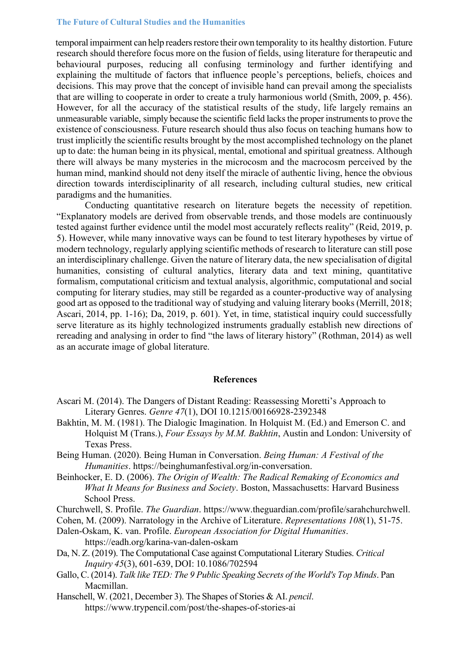temporal impairment can help readers restore their own temporality to its healthy distortion. Future research should therefore focus more on the fusion of fields, using literature for therapeutic and behavioural purposes, reducing all confusing terminology and further identifying and explaining the multitude of factors that influence people's perceptions, beliefs, choices and decisions. This may prove that the concept of invisible hand can prevail among the specialists that are willing to cooperate in order to create a truly harmonious world (Smith, 2009, p. 456). However, for all the accuracy of the statistical results of the study, life largely remains an unmeasurable variable, simply because the scientific field lacks the proper instruments to prove the existence of consciousness. Future research should thus also focus on teaching humans how to trust implicitly the scientific results brought by the most accomplished technology on the planet up to date: the human being in its physical, mental, emotional and spiritual greatness. Although there will always be many mysteries in the microcosm and the macrocosm perceived by the human mind, mankind should not deny itself the miracle of authentic living, hence the obvious direction towards interdisciplinarity of all research, including cultural studies, new critical paradigms and the humanities.

Conducting quantitative research on literature begets the necessity of repetition. "Explanatory models are derived from observable trends, and those models are continuously tested against further evidence until the model most accurately reflects reality" (Reid, 2019, p. 5). However, while many innovative ways can be found to test literary hypotheses by virtue of modern technology, regularly applying scientific methods of research to literature can still pose an interdisciplinary challenge. Given the nature of literary data, the new specialisation of digital humanities, consisting of cultural analytics, literary data and text mining, quantitative formalism, computational criticism and textual analysis, algorithmic, computational and social computing for literary studies, may still be regarded as a counter-productive way of analysing good art as opposed to the traditional way of studying and valuing literary books (Merrill, 2018; Ascari, 2014, pp. 1-16); Da, 2019, p. 601). Yet, in time, statistical inquiry could successfully serve literature as its highly technologized instruments gradually establish new directions of rereading and analysing in order to find "the laws of literary history" (Rothman, 2014) as well as an accurate image of global literature.

### **References**

- Ascari M. (2014). The Dangers of Distant Reading: Reassessing Moretti's Approach to Literary Genres. *Genre 47*(1), DOI 10.1215/00166928-2392348
- Bakhtin, M. M. (1981). The Dialogic Imagination. In Holquist M. (Ed.) and Emerson C. and Holquist M (Trans.), *Four Essays by M.M. Bakhtin*, Austin and London: University of Texas Press.
- Being Human. (2020). Being Human in Conversation. *Being Human: A Festival of the Humanities*. https://beinghumanfestival.org/in-conversation.
- Beinhocker, E. D. (2006). *The Origin of Wealth: The Radical Remaking of Economics and What It Means for Business and Society*. Boston, Massachusetts: Harvard Business School Press.
- Churchwell, S. Profile. *The Guardian*. https:[//www.theguardian.com/profile/sarahchurchwell.](http://www.theguardian.com/profile/sarahchurchwell)
- Cohen, M. (2009). Narratology in the Archive of Literature. *Representations 108*(1), 51-75.
- Dalen-Oskam, K. van. Profile. *European Association for Digital Humanities*. https://eadh.org/karina-van-dalen-oskam
- Da, N. Z. (2019). The Computational Case against Computational Literary Studies. *Critical Inquiry 45*(3), 601-639, DOI: 10.1086/702594
- Gallo, C. (2014). *Talk like TED: The 9 Public Speaking Secrets of the World's Top Minds*. Pan Macmillan.
- Hanschell, W. (2021, December 3). The Shapes of Stories & AI. *pencil*. https:/[/www.trypencil.com/post/the-shapes-of-stories-ai](http://www.trypencil.com/post/the-shapes-of-stories-ai)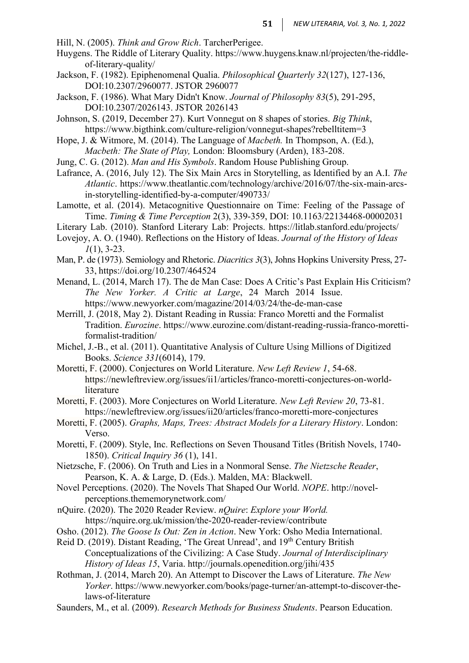Hill, N. (2005). *Think and Grow Rich*. TarcherPerigee.

- Huygens. The Riddle of Literary Quality. https:/[/www.huygens.knaw.nl/projecten/the-riddle](http://www.huygens.knaw.nl/projecten/the-riddle-)of-literary-quality/
- Jackson, F. (1982). Epiphenomenal Qualia. *Philosophical Quarterly 32*(127), 127-136, DOI:10.2307/2960077. JSTOR 2960077
- Jackson, F. (1986). What Mary Didn't Know. *Journal of Philosophy 83*(5), 291-295, DOI:10.2307/2026143. JSTOR 2026143
- Johnson, S. (2019, December 27). Kurt Vonnegut on 8 shapes of stories. *Big Think*, https:[//www.bigthink.com/culture-religion/vonnegut-shapes?rebelltitem=3](http://www.bigthink.com/culture-religion/vonnegut-shapes?rebelltitem=3)
- Hope, J. & Witmore, M. (2014). The Language of *Macbeth.* In Thompson, A. (Ed.), *Macbeth: The State of Play,* London: Bloomsbury (Arden), 183-208.
- Jung, C. G. (2012). *Man and His Symbols*. Random House Publishing Group.
- Lafrance, A. (2016, July 12). The Six Main Arcs in Storytelling, as Identified by an A.I. *The Atlantic*. https:[//www.theatlantic.com/technology/archive/2016/07/the-six-main-arcs](http://www.theatlantic.com/technology/archive/2016/07/the-six-main-arcs-)in-storytelling-identified-by-a-computer/490733/
- Lamotte, et al. (2014). Metacognitive Questionnaire on Time: Feeling of the Passage of Time. *Timing & Time Perception* 2(3), 339-359, DOI: 10.1163/22134468-00002031
- Literary Lab. (2010). Stanford Literary Lab: Projects. https://litlab.stanford.edu/projects/
- Lovejoy, A. O. (1940). Reflections on the History of Ideas. *Journal of the History of Ideas 1*(1), 3-23.
- Man, P. de (1973). Semiology and Rhetoric. *Diacritics 3*(3), Johns Hopkins University Press, 27- 33, https://doi.org/10.2307/464524
- Menand, L. (2014, March 17). The de Man Case: Does A Critic's Past Explain His Criticism? *The New Yorker. A Critic at Large*, 24 March 2014 Issue. https:[//www.newyorker.com/magazine/2014/03/24/the-de-man-case](http://www.newyorker.com/magazine/2014/03/24/the-de-man-case)
- Merrill, J. (2018, May 2). Distant Reading in Russia: Franco Moretti and the Formalist Tradition. *Eurozine*. https:[//www.eurozine.com/distant-reading-russia-franco-moretti](http://www.eurozine.com/distant-reading-russia-franco-moretti-)formalist-tradition/
- Michel, J.-B., et al. (2011). Quantitative Analysis of Culture Using Millions of Digitized Books. *Science 331*(6014), 179.
- Moretti, F. (2000). Conjectures on World Literature. *New Left Review 1*, 54-68. https://newleftreview.org/issues/ii1/articles/franco-moretti-conjectures-on-worldliterature
- Moretti, F. (2003). More Conjectures on World Literature. *New Left Review 20*, 73-81. https://newleftreview.org/issues/ii20/articles/franco-moretti-more-conjectures
- Moretti, F. (2005). *Graphs, Maps, Trees: Abstract Models for a Literary History*. London: Verso.
- Moretti, F. (2009). Style, Inc. Reflections on Seven Thousand Titles (British Novels, 1740- 1850). *Critical Inquiry 36* (1), 141.
- Nietzsche, F. (2006). On Truth and Lies in a Nonmoral Sense. *The Nietzsche Reader*, Pearson, K. A. & Large, D. (Eds.). Malden, MA: Blackwell.
- Novel Perceptions. (2020). The Novels That Shaped Our World. *NOPE*. [http://novel](http://novel-/)perceptions.thememorynetwork.com/
- nQuire. (2020). The 2020 Reader Review. *nQuire*: *Explore your World.* https://nquire.org.uk/mission/the-2020-reader-review/contribute
- Osho. (2012). *The Goose Is Out: Zen in Action*. New York: Osho Media International.
- Reid D. (2019). Distant Reading, 'The Great Unread', and 19<sup>th</sup> Century British Conceptualizations of the Civilizing: A Case Study. *Journal of Interdisciplinary History of Ideas 15*, Varia.<http://journals.openedition.org/jihi/435>
- Rothman, J. (2014, March 20). An Attempt to Discover the Laws of Literature. *The New Yorker*. https:[//www.newyorker.com/books/page-turner/an-attempt-to-discover-the](http://www.newyorker.com/books/page-turner/an-attempt-to-discover-the-)laws-of-literature
- Saunders, M., et al. (2009). *Research Methods for Business Students*. Pearson Education.